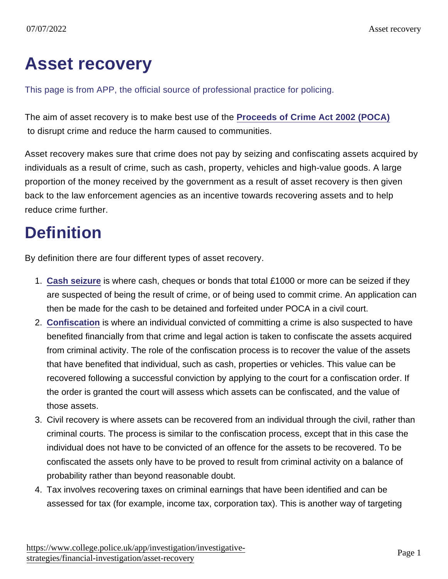## Asset recovery

This page is from APP, the official source of professional practice for policing.

The aim of asset recovery is to make best use of the [Proceeds of Crime Act 2002 \(POCA\)](http://www.legislation.gov.uk/ukpga/2002/29/contents) to disrupt crime and reduce the harm caused to communities.

Asset recovery makes sure that crime does not pay by seizing and confiscating assets acquired by individuals as a result of crime, such as cash, property, vehicles and high-value goods. A large proportion of the money received by the government as a result of asset recovery is then given back to the law enforcement agencies as an incentive towards recovering assets and to help reduce crime further.

## **Definition**

By definition there are four different types of asset recovery.

- 1. [Cash seizure](https://www.app.college.police.uk/app-content/investigations/investigative-strategies/financial-investigation-2/asset-recovery/cash-seizure/) is where cash, cheques or bonds that total £1000 or more can be seized if they are suspected of being the result of crime, or of being used to commit crime. An application can then be made for the cash to be detained and forfeited under POCA in a civil court.
- 2. [Confiscation](https://www.app.college.police.uk/app-content/investigations/investigative-strategies/financial-investigation-2/asset-recovery/confiscation-and-recovery/) is where an individual convicted of committing a crime is also suspected to have benefited financially from that crime and legal action is taken to confiscate the assets acquired from criminal activity. The role of the confiscation process is to recover the value of the assets that have benefited that individual, such as cash, properties or vehicles. This value can be recovered following a successful conviction by applying to the court for a confiscation order. If the order is granted the court will assess which assets can be confiscated, and the value of those assets.
- 3. Civil recovery is where assets can be recovered from an individual through the civil, rather than criminal courts. The process is similar to the confiscation process, except that in this case the individual does not have to be convicted of an offence for the assets to be recovered. To be confiscated the assets only have to be proved to result from criminal activity on a balance of probability rather than beyond reasonable doubt.
- 4. Tax involves recovering taxes on criminal earnings that have been identified and can be assessed for tax (for example, income tax, corporation tax). This is another way of targeting